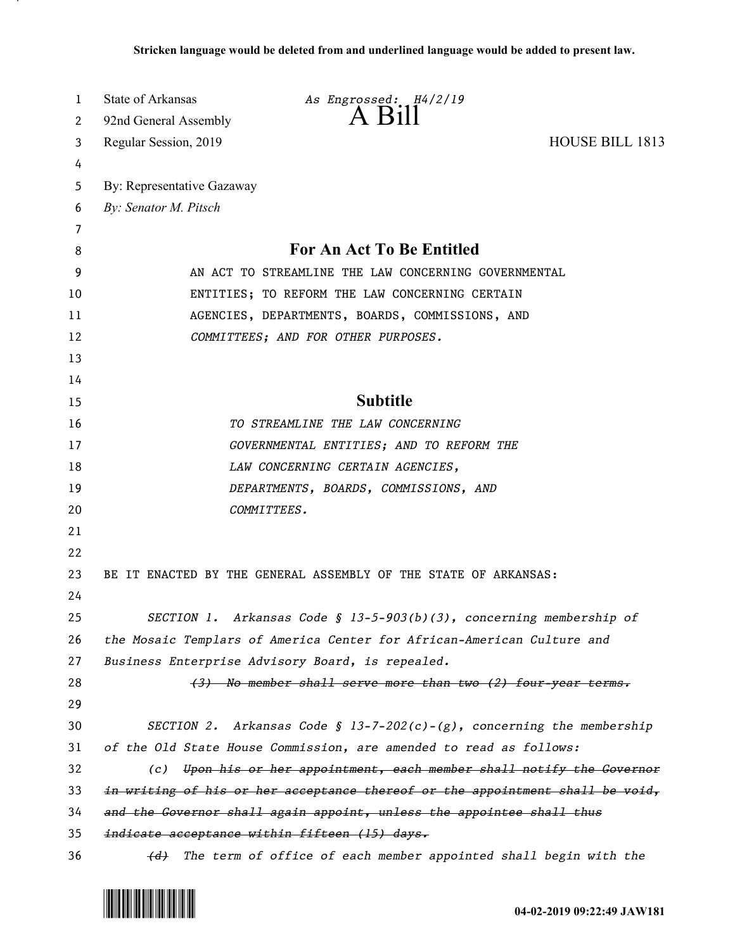| 1  | State of Arkansas<br>As Engrossed: H4/2/19                                    |
|----|-------------------------------------------------------------------------------|
| 2  | $A$ Bill<br>92nd General Assembly                                             |
| 3  | <b>HOUSE BILL 1813</b><br>Regular Session, 2019                               |
| 4  |                                                                               |
| 5  | By: Representative Gazaway                                                    |
| 6  | By: Senator M. Pitsch                                                         |
| 7  |                                                                               |
| 8  | <b>For An Act To Be Entitled</b>                                              |
| 9  | AN ACT TO STREAMLINE THE LAW CONCERNING GOVERNMENTAL                          |
| 10 | ENTITIES; TO REFORM THE LAW CONCERNING CERTAIN                                |
| 11 | AGENCIES, DEPARTMENTS, BOARDS, COMMISSIONS, AND                               |
| 12 | COMMITTEES; AND FOR OTHER PURPOSES.                                           |
| 13 |                                                                               |
| 14 |                                                                               |
| 15 | <b>Subtitle</b>                                                               |
| 16 | TO STREAMLINE THE LAW CONCERNING                                              |
| 17 | GOVERNMENTAL ENTITIES; AND TO REFORM THE                                      |
| 18 | LAW CONCERNING CERTAIN AGENCIES,                                              |
| 19 | DEPARTMENTS, BOARDS, COMMISSIONS, AND                                         |
| 20 | COMMITTEES.                                                                   |
| 21 |                                                                               |
| 22 |                                                                               |
| 23 | BE IT ENACTED BY THE GENERAL ASSEMBLY OF THE STATE OF ARKANSAS:               |
| 24 |                                                                               |
| 25 | SECTION 1. Arkansas Code § 13-5-903(b)(3), concerning membership of           |
| 26 | the Mosaic Templars of America Center for African-American Culture and        |
| 27 | Business Enterprise Advisory Board, is repealed.                              |
| 28 | (3) No member shall serve more than two (2) four-year terms.                  |
| 29 |                                                                               |
| 30 | SECTION 2. Arkansas Code § 13-7-202(c)-(g), concerning the membership         |
| 31 | of the Old State House Commission, are amended to read as follows:            |
| 32 | Upon his or her appointment, each member shall notify the Governor<br>(c)     |
| 33 | in writing of his or her acceptance thereof or the appointment shall be void, |
| 34 | and the Governor shall again appoint, unless the appointee shall thus         |
| 35 | indicate acceptance within fifteen (15) days.                                 |
| 36 | The term of office of each member appointed shall begin with the<br>(d)       |

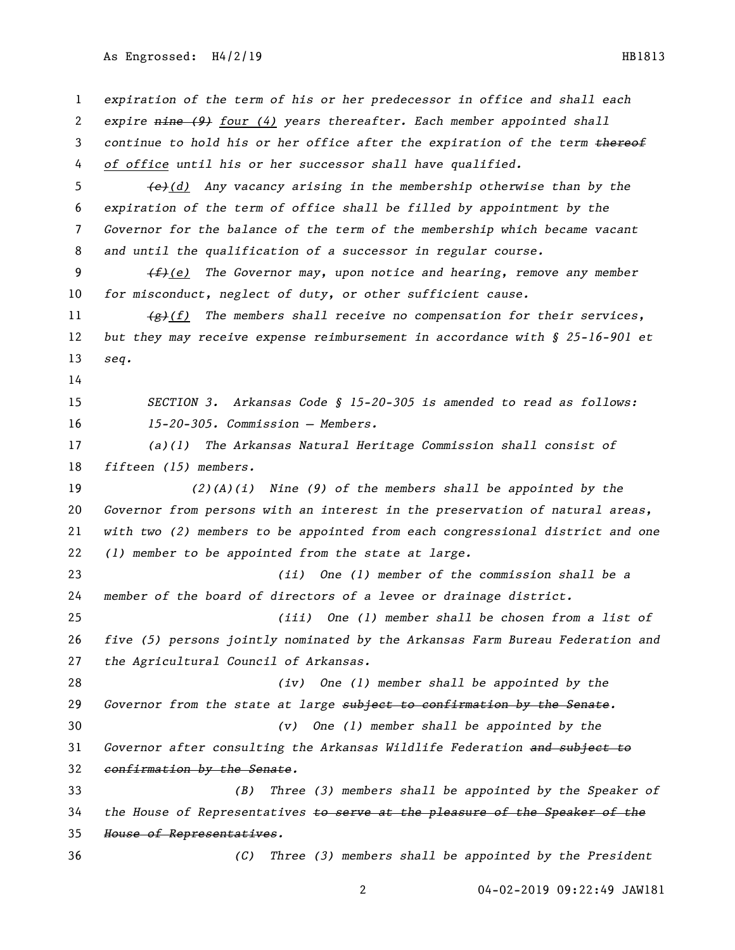## As Engrossed: H4/2/19 HB1813

 *expiration of the term of his or her predecessor in office and shall each expire nine (9) four (4) years thereafter. Each member appointed shall continue to hold his or her office after the expiration of the term thereof of office until his or her successor shall have qualified. (e)(d) Any vacancy arising in the membership otherwise than by the expiration of the term of office shall be filled by appointment by the Governor for the balance of the term of the membership which became vacant and until the qualification of a successor in regular course. (f)(e) The Governor may, upon notice and hearing, remove any member for misconduct, neglect of duty, or other sufficient cause. (g)(f) The members shall receive no compensation for their services, but they may receive expense reimbursement in accordance with § 25-16-901 et seq. SECTION 3. Arkansas Code § 15-20-305 is amended to read as follows: 15-20-305. Commission — Members. (a)(1) The Arkansas Natural Heritage Commission shall consist of fifteen (15) members. (2)(A)(i) Nine (9) of the members shall be appointed by the Governor from persons with an interest in the preservation of natural areas, with two (2) members to be appointed from each congressional district and one (1) member to be appointed from the state at large. (ii) One (1) member of the commission shall be a member of the board of directors of a levee or drainage district. (iii) One (1) member shall be chosen from a list of five (5) persons jointly nominated by the Arkansas Farm Bureau Federation and the Agricultural Council of Arkansas. (iv) One (1) member shall be appointed by the Governor from the state at large subject to confirmation by the Senate. (v) One (1) member shall be appointed by the Governor after consulting the Arkansas Wildlife Federation and subject to confirmation by the Senate. (B) Three (3) members shall be appointed by the Speaker of the House of Representatives to serve at the pleasure of the Speaker of the House of Representatives. (C) Three (3) members shall be appointed by the President* 

04-02-2019 09:22:49 JAW181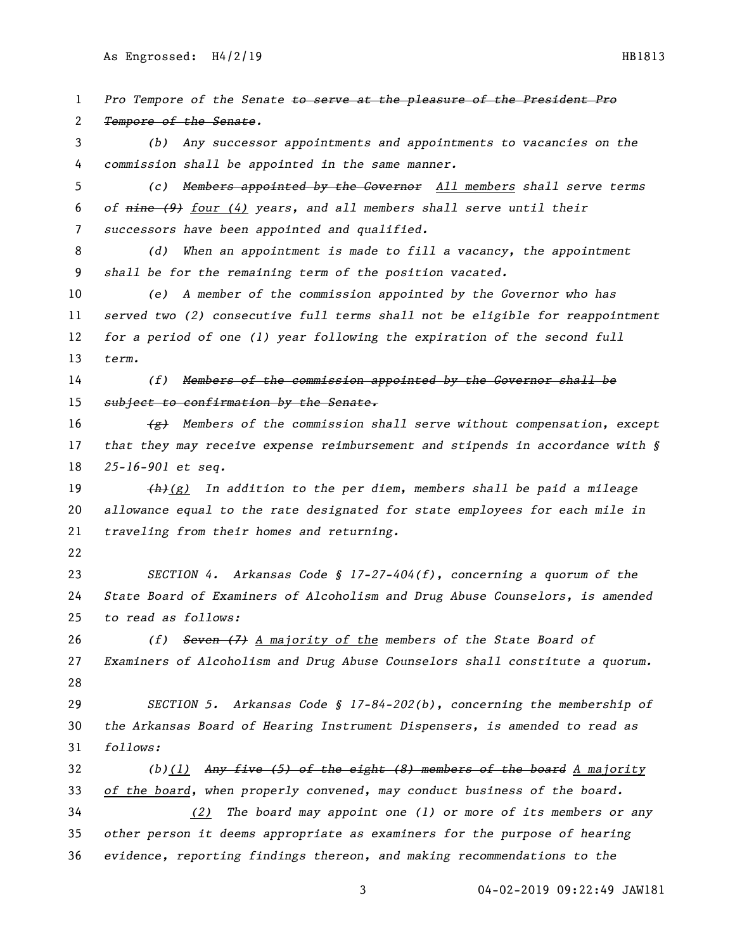As Engrossed: H4/2/19 HB1813

 *Pro Tempore of the Senate to serve at the pleasure of the President Pro Tempore of the Senate. (b) Any successor appointments and appointments to vacancies on the commission shall be appointed in the same manner. (c) Members appointed by the Governor All members shall serve terms of nine (9) four (4) years, and all members shall serve until their successors have been appointed and qualified. (d) When an appointment is made to fill a vacancy, the appointment shall be for the remaining term of the position vacated. (e) A member of the commission appointed by the Governor who has served two (2) consecutive full terms shall not be eligible for reappointment for a period of one (1) year following the expiration of the second full term. (f) Members of the commission appointed by the Governor shall be subject to confirmation by the Senate. (g) Members of the commission shall serve without compensation, except that they may receive expense reimbursement and stipends in accordance with § 25-16-901 et seq. (h)(g) In addition to the per diem, members shall be paid a mileage allowance equal to the rate designated for state employees for each mile in traveling from their homes and returning. SECTION 4. Arkansas Code § 17-27-404(f), concerning a quorum of the State Board of Examiners of Alcoholism and Drug Abuse Counselors, is amended to read as follows: (f) Seven (7) A majority of the members of the State Board of Examiners of Alcoholism and Drug Abuse Counselors shall constitute a quorum. SECTION 5. Arkansas Code § 17-84-202(b), concerning the membership of the Arkansas Board of Hearing Instrument Dispensers, is amended to read as follows: (b)(1) Any five (5) of the eight (8) members of the board A majority of the board, when properly convened, may conduct business of the board. (2) The board may appoint one (1) or more of its members or any other person it deems appropriate as examiners for the purpose of hearing evidence, reporting findings thereon, and making recommendations to the* 

04-02-2019 09:22:49 JAW181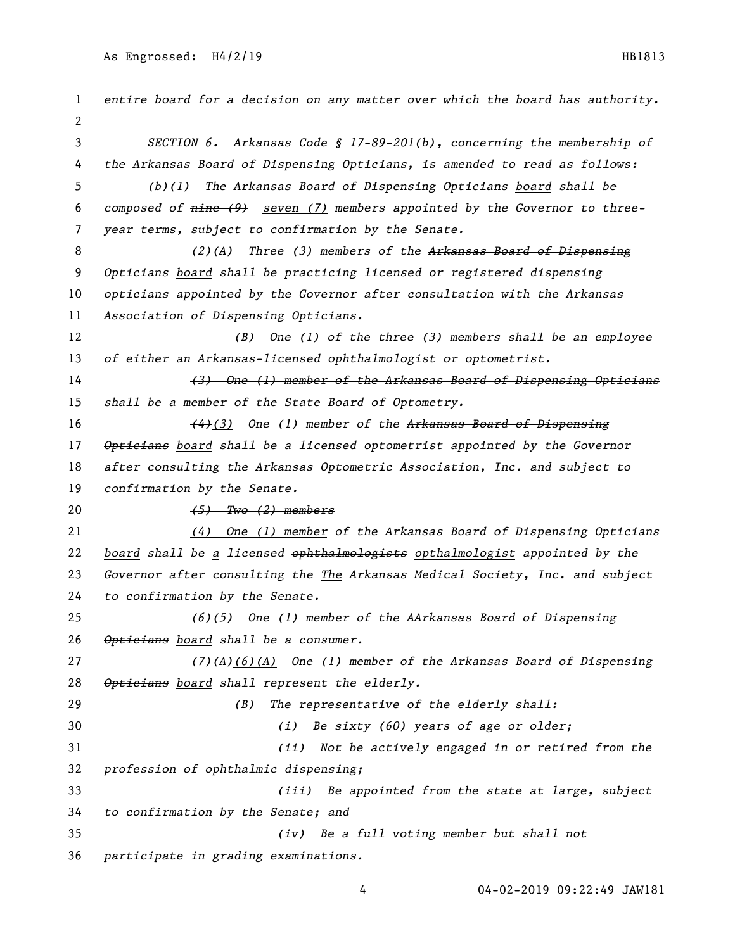*entire board for a decision on any matter over which the board has authority. SECTION 6. Arkansas Code § 17-89-201(b), concerning the membership of the Arkansas Board of Dispensing Opticians, is amended to read as follows: (b)(1) The Arkansas Board of Dispensing Opticians board shall be composed of nine (9) seven (7) members appointed by the Governor to three- year terms, subject to confirmation by the Senate. (2)(A) Three (3) members of the Arkansas Board of Dispensing Opticians board shall be practicing licensed or registered dispensing opticians appointed by the Governor after consultation with the Arkansas Association of Dispensing Opticians. (B) One (1) of the three (3) members shall be an employee of either an Arkansas-licensed ophthalmologist or optometrist. (3) One (1) member of the Arkansas Board of Dispensing Opticians shall be a member of the State Board of Optometry. (4)(3) One (1) member of the Arkansas Board of Dispensing Opticians board shall be a licensed optometrist appointed by the Governor after consulting the Arkansas Optometric Association, Inc. and subject to confirmation by the Senate. (5) Two (2) members (4) One (1) member of the Arkansas Board of Dispensing Opticians board shall be a licensed ophthalmologists opthalmologist appointed by the Governor after consulting the The Arkansas Medical Society, Inc. and subject to confirmation by the Senate. (6)(5) One (1) member of the AArkansas Board of Dispensing Opticians board shall be a consumer. (7)(A)(6)(A) One (1) member of the Arkansas Board of Dispensing Opticians board shall represent the elderly. (B) The representative of the elderly shall: (i) Be sixty (60) years of age or older; (ii) Not be actively engaged in or retired from the profession of ophthalmic dispensing; (iii) Be appointed from the state at large, subject to confirmation by the Senate; and (iv) Be a full voting member but shall not participate in grading examinations.*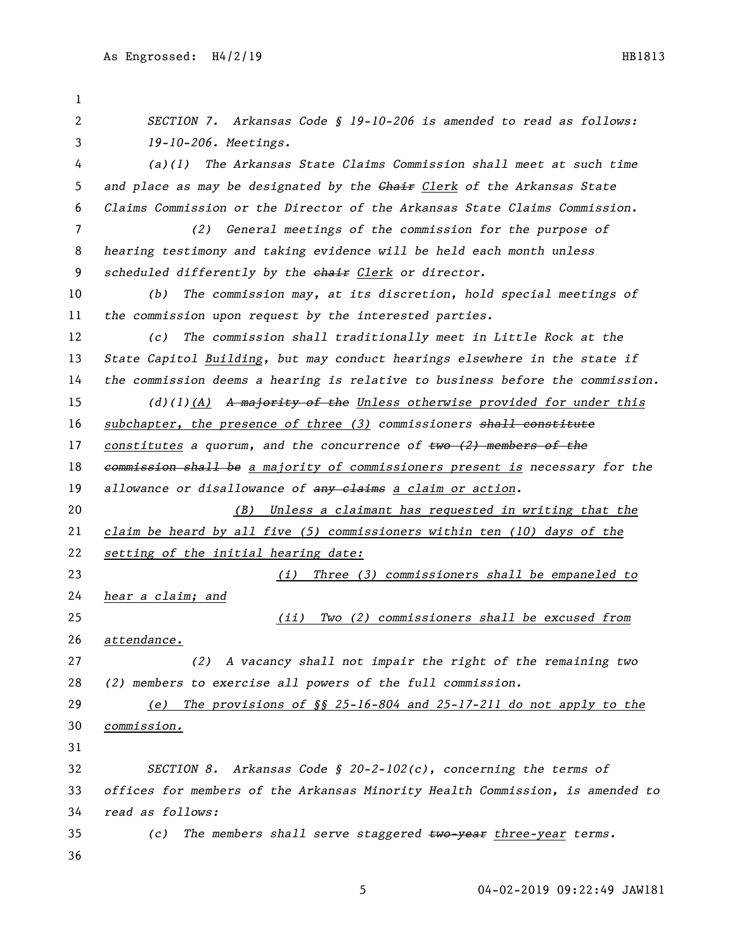*SECTION 7. Arkansas Code § 19-10-206 is amended to read as follows: 19-10-206. Meetings. (a)(1) The Arkansas State Claims Commission shall meet at such time and place as may be designated by the Chair Clerk of the Arkansas State Claims Commission or the Director of the Arkansas State Claims Commission. (2) General meetings of the commission for the purpose of hearing testimony and taking evidence will be held each month unless scheduled differently by the chair Clerk or director. (b) The commission may, at its discretion, hold special meetings of the commission upon request by the interested parties. (c) The commission shall traditionally meet in Little Rock at the State Capitol Building, but may conduct hearings elsewhere in the state if the commission deems a hearing is relative to business before the commission. (d)(1)(A) A majority of the Unless otherwise provided for under this subchapter, the presence of three (3) commissioners shall constitute constitutes a quorum, and the concurrence of two (2) members of the commission shall be a majority of commissioners present is necessary for the allowance or disallowance of any claims a claim or action. (B) Unless a claimant has requested in writing that the claim be heard by all five (5) commissioners within ten (10) days of the setting of the initial hearing date: (i) Three (3) commissioners shall be empaneled to hear a claim; and (ii) Two (2) commissioners shall be excused from attendance. (2) A vacancy shall not impair the right of the remaining two (2) members to exercise all powers of the full commission. (e) The provisions of §§ 25-16-804 and 25-17-211 do not apply to the commission. SECTION 8. Arkansas Code § 20-2-102(c), concerning the terms of offices for members of the Arkansas Minority Health Commission, is amended to read as follows: (c) The members shall serve staggered two-year three-year terms.*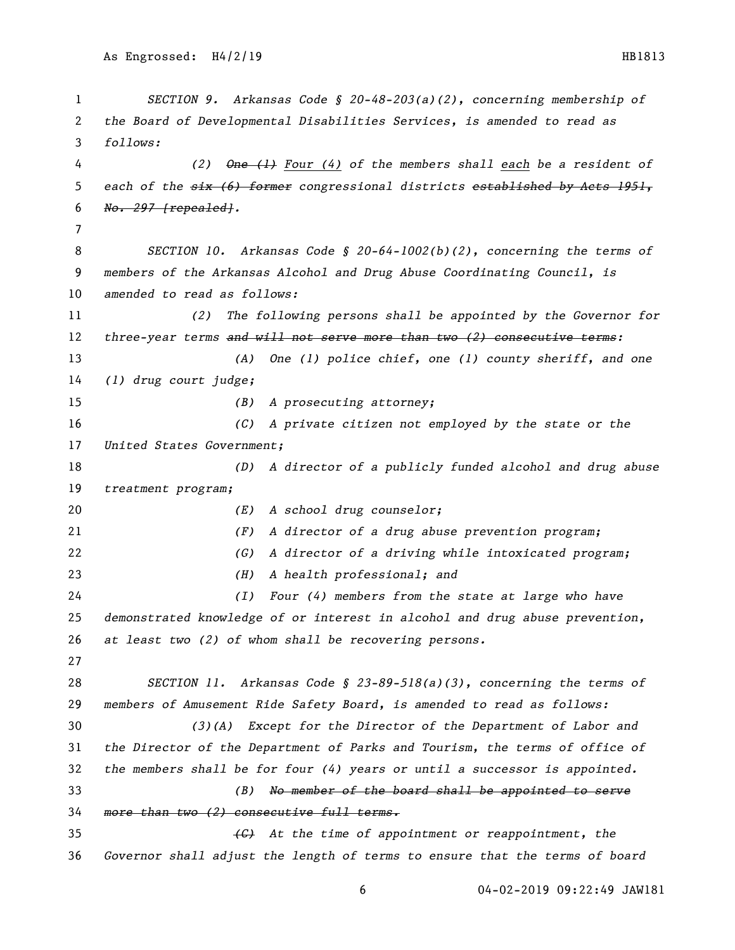```
1 SECTION 9. Arkansas Code § 20-48-203(a)(2), concerning membership of 
2 the Board of Developmental Disabilities Services, is amended to read as 
3 follows:
 4 (2) One (1) Four (4) of the members shall each be a resident of 
5 each of the six (6) former congressional districts established by Acts 1951, 
6 No. 297 [repealed].
7
8 SECTION 10. Arkansas Code § 20-64-1002(b)(2), concerning the terms of 
9 members of the Arkansas Alcohol and Drug Abuse Coordinating Council, is 
10 amended to read as follows:
11 (2) The following persons shall be appointed by the Governor for 
12 three-year terms and will not serve more than two (2) consecutive terms:
13 (A) One (1) police chief, one (1) county sheriff, and one 
14 (1) drug court judge;
15 (B) A prosecuting attorney;
16 (C) A private citizen not employed by the state or the 
17 United States Government;
18 (D) A director of a publicly funded alcohol and drug abuse 
19 treatment program;
20 (E) A school drug counselor;
21 (F) A director of a drug abuse prevention program;
22 (G) A director of a driving while intoxicated program;
23 (H) A health professional; and
24 (I) Four (4) members from the state at large who have 
25 demonstrated knowledge of or interest in alcohol and drug abuse prevention, 
26 at least two (2) of whom shall be recovering persons.
27
28 SECTION 11. Arkansas Code § 23-89-518(a)(3), concerning the terms of 
29 members of Amusement Ride Safety Board, is amended to read as follows:
30 (3)(A) Except for the Director of the Department of Labor and 
31 the Director of the Department of Parks and Tourism, the terms of office of 
32 the members shall be for four (4) years or until a successor is appointed.
33 (B) No member of the board shall be appointed to serve 
34 more than two (2) consecutive full terms.
35 (C) At the time of appointment or reappointment, the 
36 Governor shall adjust the length of terms to ensure that the terms of board
```